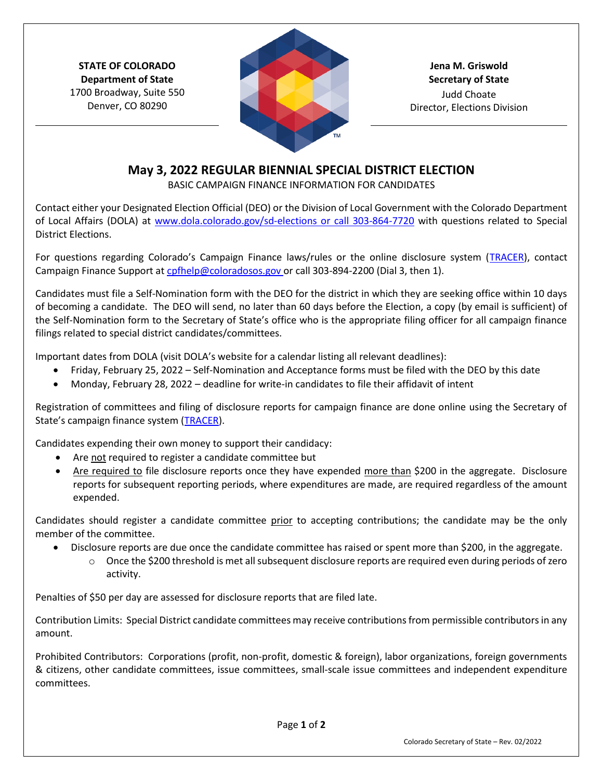**STATE OF COLORADO Department of State** 1700 Broadway, Suite 550 Denver, CO 80290



**Jena M. Griswold Secretary of State** Judd Choate Director, Elections Division

## **May 3, 2022 REGULAR BIENNIAL SPECIAL DISTRICT ELECTION**

BASIC CAMPAIGN FINANCE INFORMATION FOR CANDIDATES

Contact either your Designated Election Official (DEO) or the Division of Local Government with the Colorado Department of Local Affairs (DOLA) at www.dola.colorado.gov/sd-elections or call 303-864-7720 with questions related to Special District Elections.

For questions regarding Colorado's Campaign Finance laws/rules or the online disclosure system (TRACER), contact Campaign Finance Support at cpfhelp@coloradosos.gov or call 303-894-2200 (Dial 3, then 1).

Candidates must file a Self-Nomination form with the DEO for the district in which they are seeking office within 10 days of becoming a candidate. The DEO will send, no later than 60 days before the Election, a copy (by email is sufficient) of the Self-Nomination form to the Secretary of State's office who is the appropriate filing officer for all campaign finance filings related to special district candidates/committees.

Important dates from DOLA (visit DOLA's website for a calendar listing all relevant deadlines):

- Friday, February 25, 2022 Self-Nomination and Acceptance forms must be filed with the DEO by this date
- Monday, February 28, 2022 deadline for write-in candidates to file their affidavit of intent

Registration of committees and filing of disclosure reports for campaign finance are done online using the Secretary of State's campaign finance system (TRACER).

Candidates expending their own money to support their candidacy:

- Are not required to register a candidate committee but
- Are required to file disclosure reports once they have expended more than \$200 in the aggregate. Disclosure reports for subsequent reporting periods, where expenditures are made, are required regardless of the amount expended.

Candidates should register a candidate committee prior to accepting contributions; the candidate may be the only member of the committee.

- Disclosure reports are due once the candidate committee has raised or spent more than \$200, in the aggregate.
	- $\circ$  Once the \$200 threshold is met all subsequent disclosure reports are required even during periods of zero activity.

Penalties of \$50 per day are assessed for disclosure reports that are filed late.

Contribution Limits: Special District candidate committees may receive contributions from permissible contributors in any amount.

Prohibited Contributors: Corporations (profit, non-profit, domestic & foreign), labor organizations, foreign governments & citizens, other candidate committees, issue committees, small-scale issue committees and independent expenditure committees.